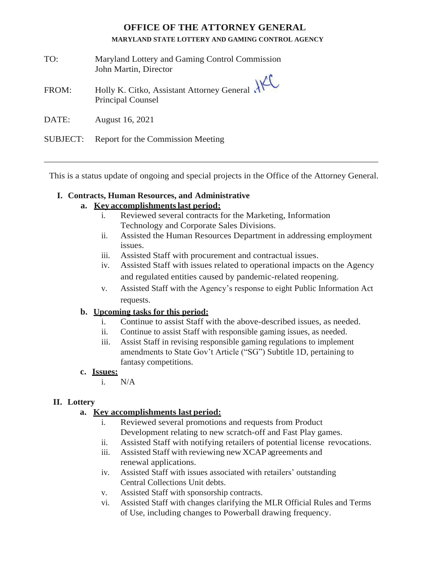# **OFFICE OF THE ATTORNEY GENERAL**

#### **MARYLAND STATE LOTTERY AND GAMING CONTROL AGENCY**

- TO: Maryland Lottery and Gaming Control Commission John Martin, Director
- FROM: Holly K. Citko, Assistant Attorney General Principal Counsel
- DATE: August 16, 2021

## SUBJECT: Report for the Commission Meeting

This is a status update of ongoing and special projects in the Office of the Attorney General.

\_\_\_\_\_\_\_\_\_\_\_\_\_\_\_\_\_\_\_\_\_\_\_\_\_\_\_\_\_\_\_\_\_\_\_\_\_\_\_\_\_\_\_\_\_\_\_\_\_\_\_\_\_\_\_\_\_\_\_\_\_\_\_\_\_\_\_\_\_\_\_\_\_\_\_

## **I. Contracts, Human Resources, and Administrative**

## **a. Key accomplishmentslast period:**

- i. Reviewed several contracts for the Marketing, Information Technology and Corporate Sales Divisions.
- ii. Assisted the Human Resources Department in addressing employment issues.
- iii. Assisted Staff with procurement and contractual issues.
- iv. Assisted Staff with issues related to operational impacts on the Agency and regulated entities caused by pandemic-related reopening.
- v. Assisted Staff with the Agency's response to eight Public Information Act requests.

## **b. Upcoming tasks for this period:**

- i. Continue to assist Staff with the above-described issues, as needed.
- ii. Continue to assist Staff with responsible gaming issues, as needed.
- iii. Assist Staff in revising responsible gaming regulations to implement amendments to State Gov't Article ("SG") Subtitle 1D, pertaining to fantasy competitions.

### **c. Issues:**

i. N/A

## **II. Lottery**

## **a. Key accomplishments last period:**

- i. Reviewed several promotions and requests from Product Development relating to new scratch-off and Fast Play games.
- ii. Assisted Staff with notifying retailers of potential license revocations.
- iii. Assisted Staff with reviewing new XCAP agreements and renewal applications.
- iv. Assisted Staff with issues associated with retailers' outstanding Central Collections Unit debts.
- v. Assisted Staff with sponsorship contracts.
- vi. Assisted Staff with changes clarifying the MLR Official Rules and Terms of Use, including changes to Powerball drawing frequency.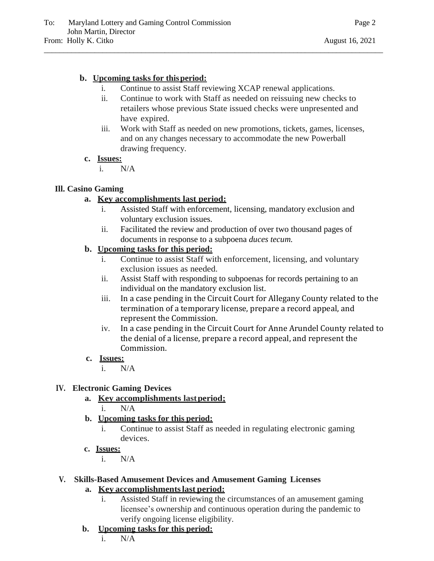# **b. Upcoming tasks for thisperiod:**

- i. Continue to assist Staff reviewing XCAP renewal applications.
- ii. Continue to work with Staff as needed on reissuing new checks to retailers whose previous State issued checks were unpresented and have expired.
- iii. Work with Staff as needed on new promotions, tickets, games, licenses, and on any changes necessary to accommodate the new Powerball drawing frequency.

# **c. Issues:**

i. N/A

# **Ill. Casino Gaming**

# **a. Key accomplishments last period:**

- i. Assisted Staff with enforcement, licensing, mandatory exclusion and voluntary exclusion issues.
- ii. Facilitated the review and production of over two thousand pages of documents in response to a subpoena *duces tecum.*

# **b. Upcoming tasks for this period:**

- i. Continue to assist Staff with enforcement, licensing, and voluntary exclusion issues as needed.
- ii. Assist Staff with responding to subpoenas for records pertaining to an individual on the mandatory exclusion list.
- iii. In a case pending in the Circuit Court for Allegany County related to the termination of a temporary license, prepare a record appeal, and represent the Commission.
- iv. In a case pending in the Circuit Court for Anne Arundel County related to the denial of a license, prepare a record appeal, and represent the Commission.

# **c. Issues:**

i. N/A

# **IV. Electronic Gaming Devices**

- **a. Key accomplishments lastperiod;**
	- i. N/A
- **b. Upcoming tasks for this period:**
	- i. Continue to assist Staff as needed in regulating electronic gaming devices.
- **c. Issues:**
	- i. N/A

# **V. Skills-Based Amusement Devices and Amusement Gaming Licenses**

# **a. Key accomplishmentslast period:**

- i. Assisted Staff in reviewing the circumstances of an amusement gaming licensee's ownership and continuous operation during the pandemic to verify ongoing license eligibility.
- **b. Upcoming tasks for this period:**
	- i. N/A